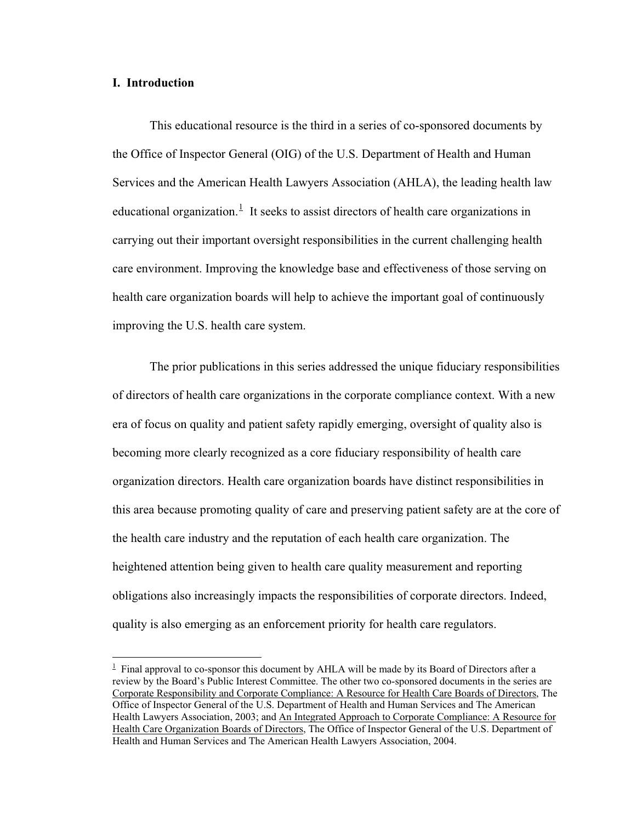# **I. Introduction**

This educational resource is the third in a series of co-sponsored documents by the Office of Inspector General (OIG) of the U.S. Department of Health and Human Services and the American Health Lawyers Association (AHLA), the leading health law educational organization.<sup>1</sup> It seeks to assist directors of health care organizations in carrying out their important oversight responsibilities in the current challenging health care environment. Improving the knowledge base and effectiveness of those serving on health care organization boards will help to achieve the important goal of continuously improving the U.S. health care system.

The prior publications in this series addressed the unique fiduciary responsibilities of directors of health care organizations in the corporate compliance context. With a new era of focus on quality and patient safety rapidly emerging, oversight of quality also is becoming more clearly recognized as a core fiduciary responsibility of health care organization directors. Health care organization boards have distinct responsibilities in this area because promoting quality of care and preserving patient safety are at the core of the health care industry and the reputation of each health care organization. The heightened attention being given to health care quality measurement and reporting obligations also increasingly impacts the responsibilities of corporate directors. Indeed, quality is also emerging as an enforcement priority for health care regulators.

 $1$  Final approval to co-sponsor this document by AHLA will be made by its Board of Directors after a review by the Board's Public Interest Committee. The other two co-sponsored documents in the series are Corporate Responsibility and Corporate Compliance: A Resource for Health Care Boards of Directors, The Office of Inspector General of the U.S. Department of Health and Human Services and The American Health Lawyers Association, 2003; and An Integrated Approach to Corporate Compliance: A Resource for Health Care Organization Boards of Directors, The Office of Inspector General of the U.S. Department of Health and Human Services and The American Health Lawyers Association, 2004.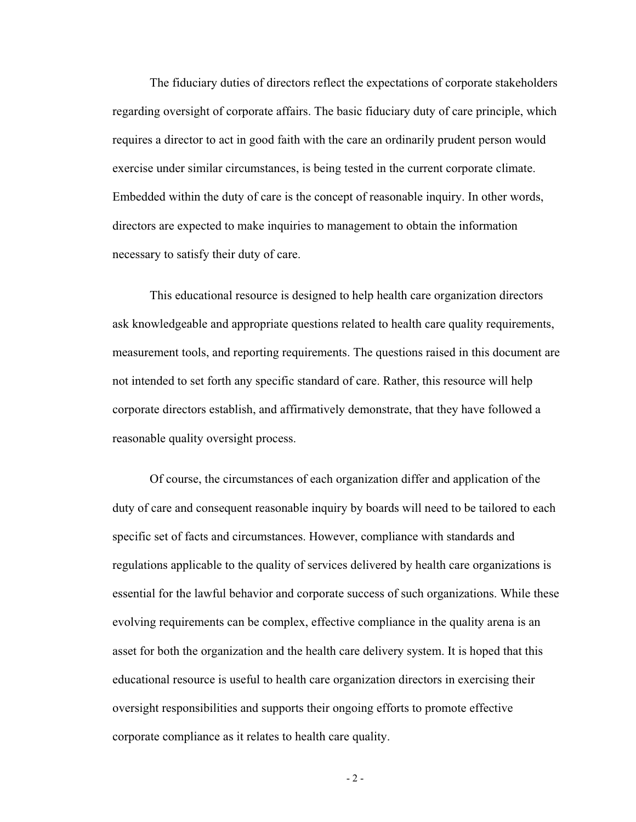The fiduciary duties of directors reflect the expectations of corporate stakeholders regarding oversight of corporate affairs. The basic fiduciary duty of care principle, which requires a director to act in good faith with the care an ordinarily prudent person would exercise under similar circumstances, is being tested in the current corporate climate. Embedded within the duty of care is the concept of reasonable inquiry. In other words, directors are expected to make inquiries to management to obtain the information necessary to satisfy their duty of care.

This educational resource is designed to help health care organization directors ask knowledgeable and appropriate questions related to health care quality requirements, measurement tools, and reporting requirements. The questions raised in this document are not intended to set forth any specific standard of care. Rather, this resource will help corporate directors establish, and affirmatively demonstrate, that they have followed a reasonable quality oversight process.

Of course, the circumstances of each organization differ and application of the duty of care and consequent reasonable inquiry by boards will need to be tailored to each specific set of facts and circumstances. However, compliance with standards and regulations applicable to the quality of services delivered by health care organizations is essential for the lawful behavior and corporate success of such organizations. While these evolving requirements can be complex, effective compliance in the quality arena is an asset for both the organization and the health care delivery system. It is hoped that this educational resource is useful to health care organization directors in exercising their oversight responsibilities and supports their ongoing efforts to promote effective corporate compliance as it relates to health care quality.

 $-2 -$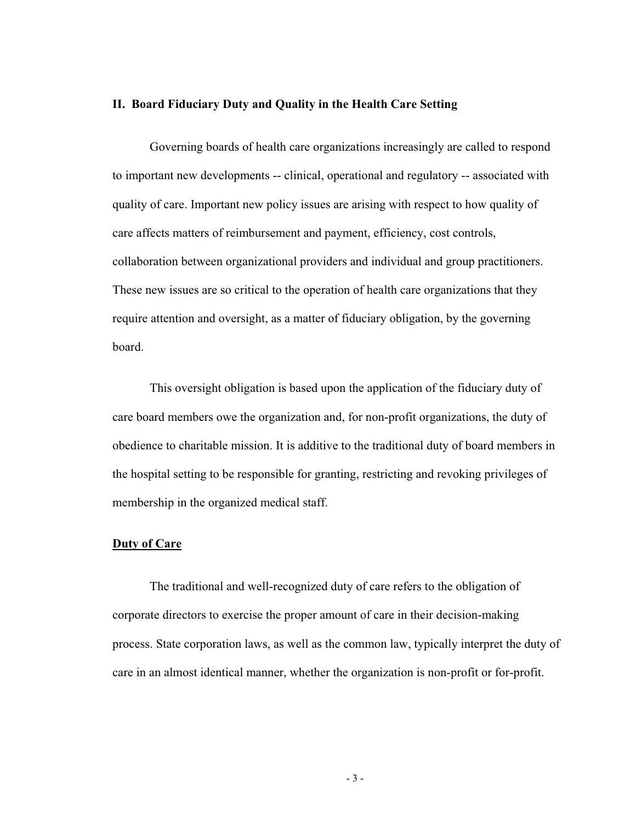#### **II. Board Fiduciary Duty and Quality in the Health Care Setting**

Governing boards of health care organizations increasingly are called to respond to important new developments -- clinical, operational and regulatory -- associated with quality of care. Important new policy issues are arising with respect to how quality of care affects matters of reimbursement and payment, efficiency, cost controls, collaboration between organizational providers and individual and group practitioners. These new issues are so critical to the operation of health care organizations that they require attention and oversight, as a matter of fiduciary obligation, by the governing board.

This oversight obligation is based upon the application of the fiduciary duty of care board members owe the organization and, for non-profit organizations, the duty of obedience to charitable mission. It is additive to the traditional duty of board members in the hospital setting to be responsible for granting, restricting and revoking privileges of membership in the organized medical staff.

# **Duty of Care**

The traditional and well-recognized duty of care refers to the obligation of corporate directors to exercise the proper amount of care in their decision-making process. State corporation laws, as well as the common law, typically interpret the duty of care in an almost identical manner, whether the organization is non-profit or for-profit.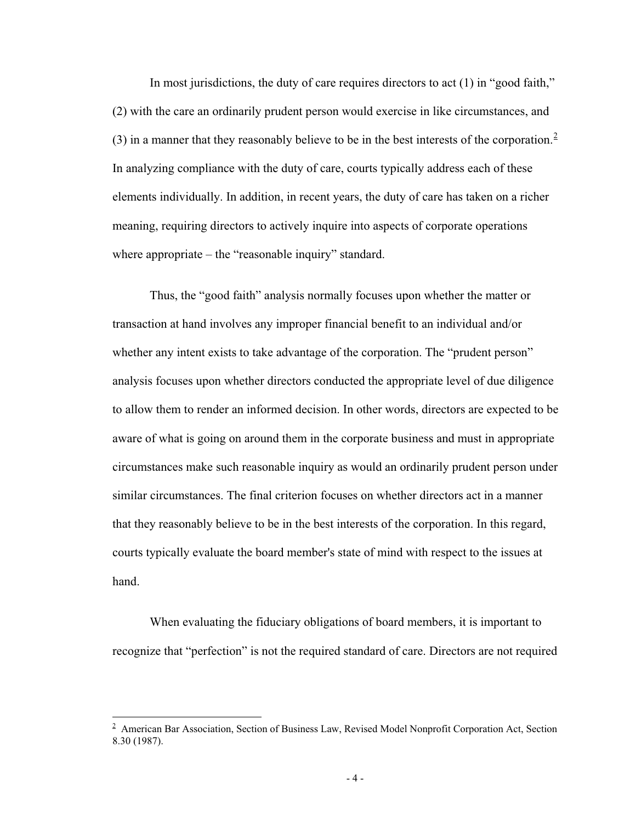In most jurisdictions, the duty of care requires directors to act (1) in "good faith," (2) with the care an ordinarily prudent person would exercise in like circumstances, and (3) in a manner that they reasonably believe to be in the best interests of the corporation.<sup>2</sup> In analyzing compliance with the duty of care, courts typically address each of these elements individually. In addition, in recent years, the duty of care has taken on a richer meaning, requiring directors to actively inquire into aspects of corporate operations where appropriate – the "reasonable inquiry" standard.

Thus, the "good faith" analysis normally focuses upon whether the matter or transaction at hand involves any improper financial benefit to an individual and/or whether any intent exists to take advantage of the corporation. The "prudent person" analysis focuses upon whether directors conducted the appropriate level of due diligence to allow them to render an informed decision. In other words, directors are expected to be aware of what is going on around them in the corporate business and must in appropriate circumstances make such reasonable inquiry as would an ordinarily prudent person under similar circumstances. The final criterion focuses on whether directors act in a manner that they reasonably believe to be in the best interests of the corporation. In this regard, courts typically evaluate the board member's state of mind with respect to the issues at hand.

When evaluating the fiduciary obligations of board members, it is important to recognize that "perfection" is not the required standard of care. Directors are not required

<sup>&</sup>lt;sup>2</sup> American Bar Association, Section of Business Law, Revised Model Nonprofit Corporation Act, Section 8.30 (1987).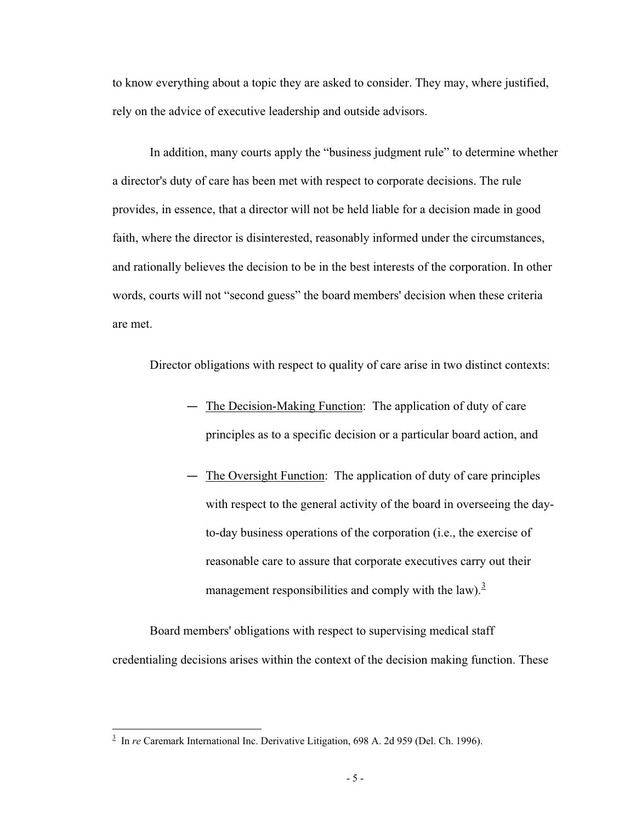to know everything about a topic they are asked to consider. They may, where justified, rely on the advice of executive leadership and outside advisors.

In addition, many courts apply the "business judgment rule" to determine whether a director's duty of care has been met with respect to corporate decisions. The rule provides, in essence, that a director will not be held liable for a decision made in good faith, where the director is disinterested, reasonably informed under the circumstances, and rationally believes the decision to be in the best interests of the corporation. In other words, courts will not "second guess" the board members' decision when these criteria are met.

Director obligations with respect to quality of care arise in two distinct contexts:

- The Decision-Making Function: The application of duty of care principles as to a specific decision or a particular board action, and
- The Oversight Function: The application of duty of care principles with respect to the general activity of the board in overseeing the dayto-day business operations of the corporation (i.e., the exercise of reasonable care to assure that corporate executives carry out their management responsibilities and comply with the law).<sup>3</sup>

Board members' obligations with respect to supervising medical staff credentialing decisions arises within the context of the decision making function. These

<sup>&</sup>lt;sup>3</sup> In *re* Caremark International Inc. Derivative Litigation, 698 A. 2d 959 (Del. Ch. 1996).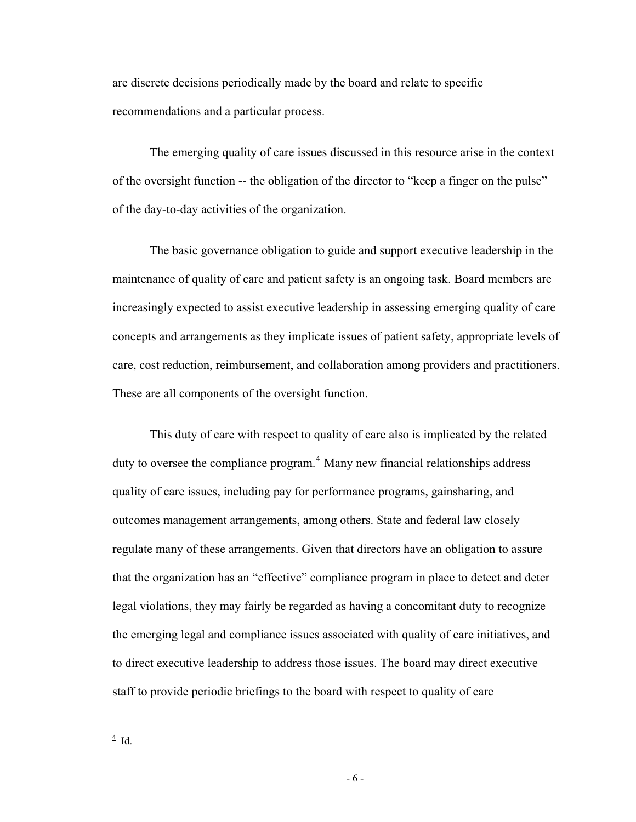are discrete decisions periodically made by the board and relate to specific recommendations and a particular process.

The emerging quality of care issues discussed in this resource arise in the context of the oversight function -- the obligation of the director to "keep a finger on the pulse" of the day-to-day activities of the organization.

The basic governance obligation to guide and support executive leadership in the maintenance of quality of care and patient safety is an ongoing task. Board members are increasingly expected to assist executive leadership in assessing emerging quality of care concepts and arrangements as they implicate issues of patient safety, appropriate levels of care, cost reduction, reimbursement, and collaboration among providers and practitioners. These are all components of the oversight function.

This duty of care with respect to quality of care also is implicated by the related duty to oversee the compliance program. $<sup>4</sup>$  Many new financial relationships address</sup> quality of care issues, including pay for performance programs, gainsharing, and outcomes management arrangements, among others. State and federal law closely regulate many of these arrangements. Given that directors have an obligation to assure that the organization has an "effective" compliance program in place to detect and deter legal violations, they may fairly be regarded as having a concomitant duty to recognize the emerging legal and compliance issues associated with quality of care initiatives, and to direct executive leadership to address those issues. The board may direct executive staff to provide periodic briefings to the board with respect to quality of care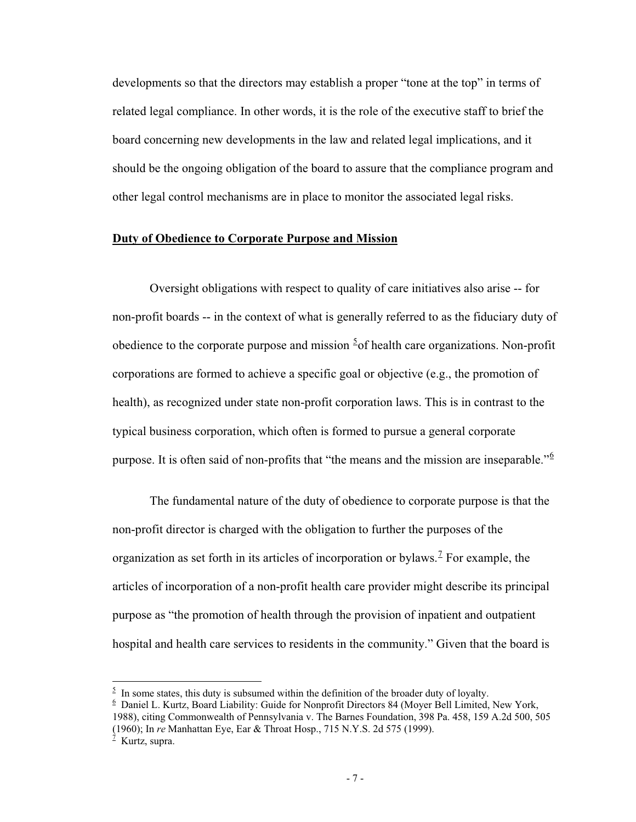developments so that the directors may establish a proper "tone at the top" in terms of related legal compliance. In other words, it is the role of the executive staff to brief the board concerning new developments in the law and related legal implications, and it should be the ongoing obligation of the board to assure that the compliance program and other legal control mechanisms are in place to monitor the associated legal risks.

### **Duty of Obedience to Corporate Purpose and Mission**

Oversight obligations with respect to quality of care initiatives also arise -- for non-profit boards -- in the context of what is generally referred to as the fiduciary duty of obedience to the corporate purpose and mission  $5$  of health care organizations. Non-profit corporations are formed to achieve a specific goal or objective (e.g., the promotion of health), as recognized under state non-profit corporation laws. This is in contrast to the typical business corporation, which often is formed to pursue a general corporate purpose. It is often said of non-profits that "the means and the mission are inseparable."<sup>6</sup>

The fundamental nature of the duty of obedience to corporate purpose is that the non-profit director is charged with the obligation to further the purposes of the organization as set forth in its articles of incorporation or bylaws.<sup> $7$ </sup> For example, the articles of incorporation of a non-profit health care provider might describe its principal purpose as "the promotion of health through the provision of inpatient and outpatient hospital and health care services to residents in the community." Given that the board is

(1960); In *re* Manhattan Eye, Ear & Throat Hosp., 715 N.Y.S. 2d 575 (1999).

 $5$  In some states, this duty is subsumed within the definition of the broader duty of loyalty.

 $6$  Daniel L. Kurtz, Board Liability: Guide for Nonprofit Directors 84 (Moyer Bell Limited, New York, 1988), citing Commonwealth of Pennsylvania v. The Barnes Foundation, 398 Pa. 458, 159 A.2d 500, 505

 $<sup>7</sup>$  Kurtz, supra.</sup>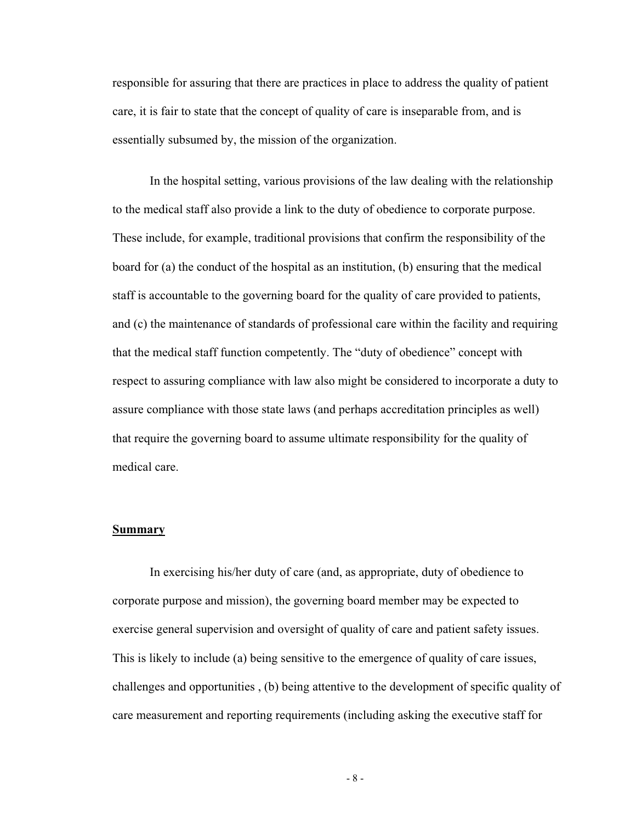responsible for assuring that there are practices in place to address the quality of patient care, it is fair to state that the concept of quality of care is inseparable from, and is essentially subsumed by, the mission of the organization.

In the hospital setting, various provisions of the law dealing with the relationship to the medical staff also provide a link to the duty of obedience to corporate purpose. These include, for example, traditional provisions that confirm the responsibility of the board for (a) the conduct of the hospital as an institution, (b) ensuring that the medical staff is accountable to the governing board for the quality of care provided to patients, and (c) the maintenance of standards of professional care within the facility and requiring that the medical staff function competently. The "duty of obedience" concept with respect to assuring compliance with law also might be considered to incorporate a duty to assure compliance with those state laws (and perhaps accreditation principles as well) that require the governing board to assume ultimate responsibility for the quality of medical care.

### **Summary**

In exercising his/her duty of care (and, as appropriate, duty of obedience to corporate purpose and mission), the governing board member may be expected to exercise general supervision and oversight of quality of care and patient safety issues. This is likely to include (a) being sensitive to the emergence of quality of care issues, challenges and opportunities , (b) being attentive to the development of specific quality of care measurement and reporting requirements (including asking the executive staff for

- 8 -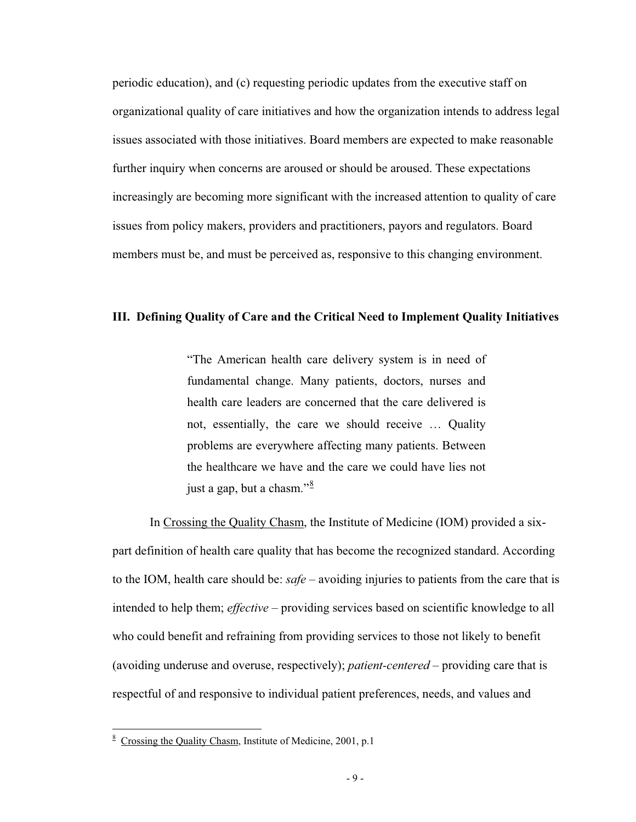periodic education), and (c) requesting periodic updates from the executive staff on organizational quality of care initiatives and how the organization intends to address legal issues associated with those initiatives. Board members are expected to make reasonable further inquiry when concerns are aroused or should be aroused. These expectations increasingly are becoming more significant with the increased attention to quality of care issues from policy makers, providers and practitioners, payors and regulators. Board members must be, and must be perceived as, responsive to this changing environment.

### **III. Defining Quality of Care and the Critical Need to Implement Quality Initiatives**

"The American health care delivery system is in need of fundamental change. Many patients, doctors, nurses and health care leaders are concerned that the care delivered is not, essentially, the care we should receive … Quality problems are everywhere affecting many patients. Between the healthcare we have and the care we could have lies not just a gap, but a chasm." $\frac{8}{3}$ 

In Crossing the Quality Chasm, the Institute of Medicine (IOM) provided a sixpart definition of health care quality that has become the recognized standard. According to the IOM, health care should be: *safe* – avoiding injuries to patients from the care that is intended to help them; *effective* – providing services based on scientific knowledge to all who could benefit and refraining from providing services to those not likely to benefit (avoiding underuse and overuse, respectively); *patient-centered* – providing care that is respectful of and responsive to individual patient preferences, needs, and values and

<sup>&</sup>lt;sup>8</sup> Crossing the Quality Chasm, Institute of Medicine, 2001, p.1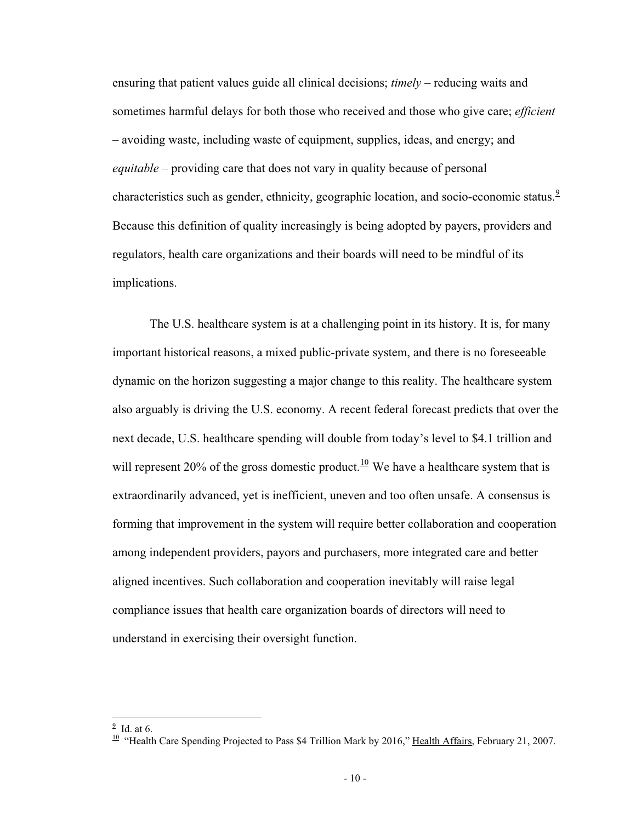ensuring that patient values guide all clinical decisions; *timely* – reducing waits and sometimes harmful delays for both those who received and those who give care; *efficient* – avoiding waste, including waste of equipment, supplies, ideas, and energy; and *equitable* – providing care that does not vary in quality because of personal characteristics such as gender, ethnicity, geographic location, and socio-economic status.<sup>9</sup> Because this definition of quality increasingly is being adopted by payers, providers and regulators, health care organizations and their boards will need to be mindful of its implications.

The U.S. healthcare system is at a challenging point in its history. It is, for many important historical reasons, a mixed public-private system, and there is no foreseeable dynamic on the horizon suggesting a major change to this reality. The healthcare system also arguably is driving the U.S. economy. A recent federal forecast predicts that over the next decade, U.S. healthcare spending will double from today's level to \$4.1 trillion and will represent 20% of the gross domestic product.<sup>10</sup> We have a healthcare system that is extraordinarily advanced, yet is inefficient, uneven and too often unsafe. A consensus is forming that improvement in the system will require better collaboration and cooperation among independent providers, payors and purchasers, more integrated care and better aligned incentives. Such collaboration and cooperation inevitably will raise legal compliance issues that health care organization boards of directors will need to understand in exercising their oversight function.

 $<sup>9</sup>$  Id. at 6.</sup>

 $10$  "Health Care Spending Projected to Pass \$4 Trillion Mark by 2016," Health Affairs, February 21, 2007.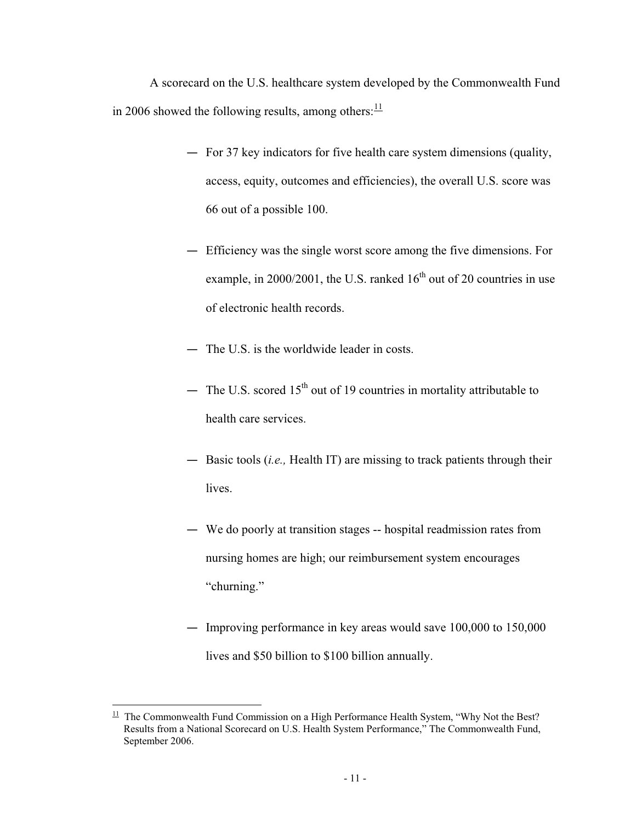A scorecard on the U.S. healthcare system developed by the Commonwealth Fund in 2006 showed the following results, among others: $\frac{11}{11}$ 

- For 37 key indicators for five health care system dimensions (quality, access, equity, outcomes and efficiencies), the overall U.S. score was 66 out of a possible 100.
- Efficiency was the single worst score among the five dimensions. For example, in  $2000/2001$ , the U.S. ranked  $16<sup>th</sup>$  out of 20 countries in use of electronic health records.
- The U.S. is the worldwide leader in costs.
- The U.S. scored  $15<sup>th</sup>$  out of 19 countries in mortality attributable to health care services.
- Basic tools (*i.e.,* Health IT) are missing to track patients through their lives.
- We do poorly at transition stages -- hospital readmission rates from nursing homes are high; our reimbursement system encourages "churning."
- Improving performance in key areas would save 100,000 to 150,000 lives and \$50 billion to \$100 billion annually.

 $11$  The Commonwealth Fund Commission on a High Performance Health System, "Why Not the Best? Results from a National Scorecard on U.S. Health System Performance," The Commonwealth Fund, September 2006.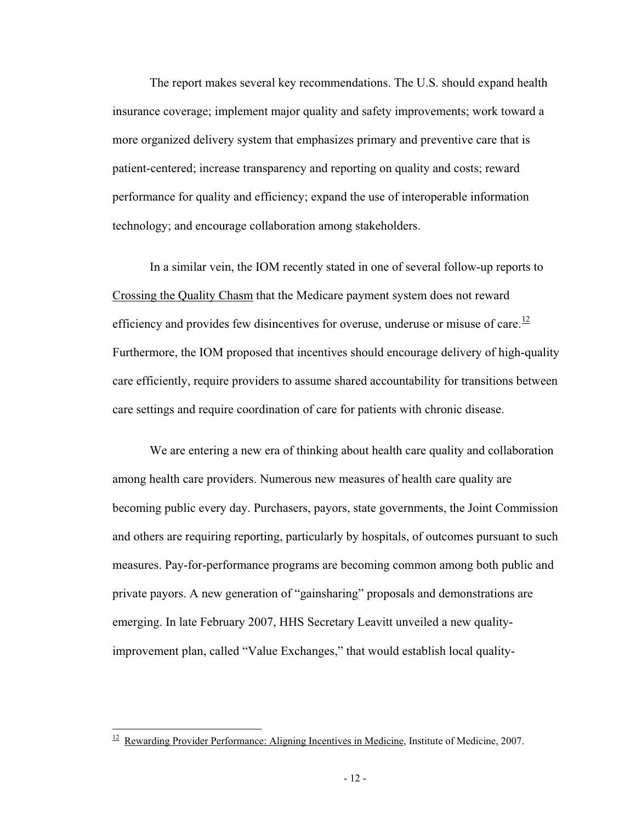The report makes several key recommendations. The U.S. should expand health insurance coverage; implement major quality and safety improvements; work toward a more organized delivery system that emphasizes primary and preventive care that is patient-centered; increase transparency and reporting on quality and costs; reward performance for quality and efficiency; expand the use of interoperable information technology; and encourage collaboration among stakeholders.

In a similar vein, the IOM recently stated in one of several follow-up reports to Crossing the Quality Chasm that the Medicare payment system does not reward efficiency and provides few disincentives for overuse, underuse or misuse of care.<sup>12</sup> Furthermore, the IOM proposed that incentives should encourage delivery of high-quality care efficiently, require providers to assume shared accountability for transitions between care settings and require coordination of care for patients with chronic disease.

We are entering a new era of thinking about health care quality and collaboration among health care providers. Numerous new measures of health care quality are becoming public every day. Purchasers, payors, state governments, the Joint Commission and others are requiring reporting, particularly by hospitals, of outcomes pursuant to such measures. Pay-for-performance programs are becoming common among both public and private payors. A new generation of "gainsharing" proposals and demonstrations are emerging. In late February 2007, HHS Secretary Leavitt unveiled a new qualityimprovement plan, called "Value Exchanges," that would establish local quality-

 $12$  Rewarding Provider Performance: Aligning Incentives in Medicine, Institute of Medicine, 2007.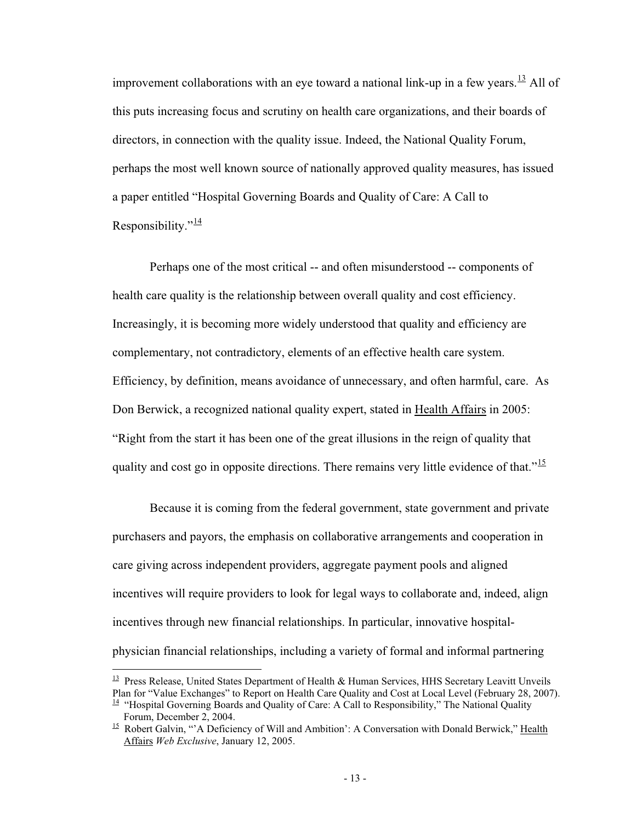improvement collaborations with an eye toward a national link-up in a few years.<sup>13</sup> All of this puts increasing focus and scrutiny on health care organizations, and their boards of directors, in connection with the quality issue. Indeed, the National Quality Forum, perhaps the most well known source of nationally approved quality measures, has issued a paper entitled "Hospital Governing Boards and Quality of Care: A Call to Responsibility." $\frac{14}{1}$ 

Perhaps one of the most critical -- and often misunderstood -- components of health care quality is the relationship between overall quality and cost efficiency. Increasingly, it is becoming more widely understood that quality and efficiency are complementary, not contradictory, elements of an effective health care system. Efficiency, by definition, means avoidance of unnecessary, and often harmful, care. As Don Berwick, a recognized national quality expert, stated in Health Affairs in 2005: "Right from the start it has been one of the great illusions in the reign of quality that quality and cost go in opposite directions. There remains very little evidence of that." $\frac{15}{15}$ 

Because it is coming from the federal government, state government and private purchasers and payors, the emphasis on collaborative arrangements and cooperation in care giving across independent providers, aggregate payment pools and aligned incentives will require providers to look for legal ways to collaborate and, indeed, align incentives through new financial relationships. In particular, innovative hospitalphysician financial relationships, including a variety of formal and informal partnering

 $\frac{13}{13}$  Press Release, United States Department of Health & Human Services, HHS Secretary Leavitt Unveils Plan for "Value Exchanges" to Report on Health Care Quality and Cost at Local Level (February 28, 2007).

 $14$  "Hospital Governing Boards and Quality of Care: A Call to Responsibility," The National Quality Forum, December 2, 2004.

 $15$  Robert Galvin, "'A Deficiency of Will and Ambition': A Conversation with Donald Berwick," Health Affairs *Web Exclusive*, January 12, 2005.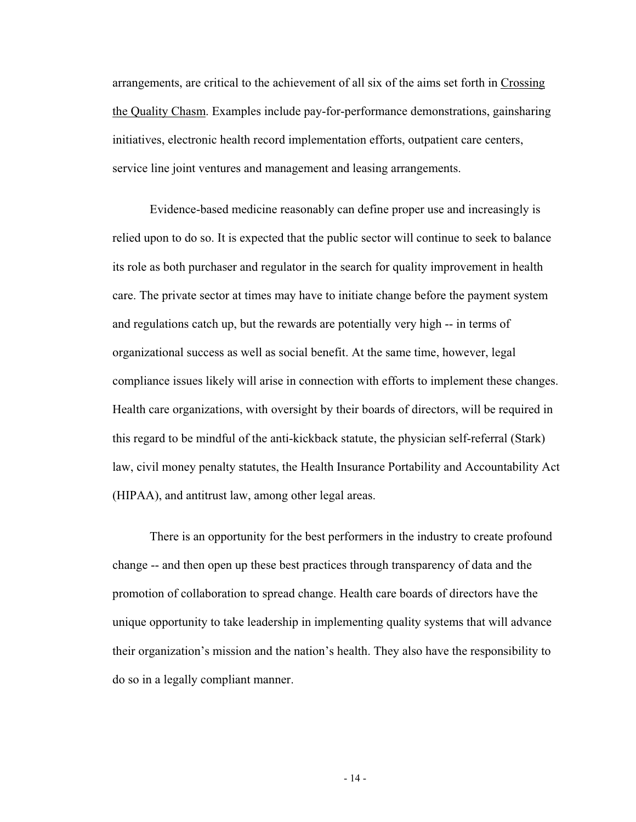arrangements, are critical to the achievement of all six of the aims set forth in Crossing the Quality Chasm. Examples include pay-for-performance demonstrations, gainsharing initiatives, electronic health record implementation efforts, outpatient care centers, service line joint ventures and management and leasing arrangements.

Evidence-based medicine reasonably can define proper use and increasingly is relied upon to do so. It is expected that the public sector will continue to seek to balance its role as both purchaser and regulator in the search for quality improvement in health care. The private sector at times may have to initiate change before the payment system and regulations catch up, but the rewards are potentially very high -- in terms of organizational success as well as social benefit. At the same time, however, legal compliance issues likely will arise in connection with efforts to implement these changes. Health care organizations, with oversight by their boards of directors, will be required in this regard to be mindful of the anti-kickback statute, the physician self-referral (Stark) law, civil money penalty statutes, the Health Insurance Portability and Accountability Act (HIPAA), and antitrust law, among other legal areas.

There is an opportunity for the best performers in the industry to create profound change -- and then open up these best practices through transparency of data and the promotion of collaboration to spread change. Health care boards of directors have the unique opportunity to take leadership in implementing quality systems that will advance their organization's mission and the nation's health. They also have the responsibility to do so in a legally compliant manner.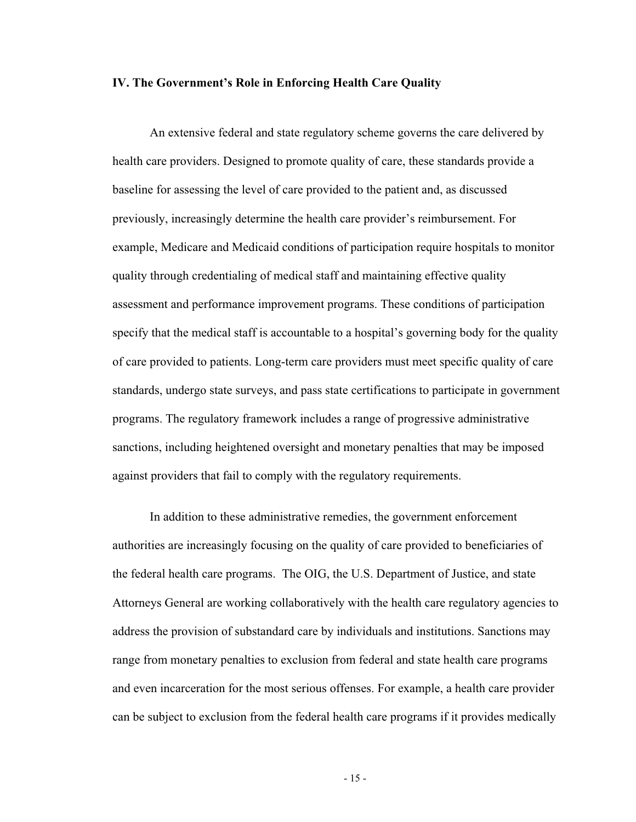#### **IV. The Government's Role in Enforcing Health Care Quality**

An extensive federal and state regulatory scheme governs the care delivered by health care providers. Designed to promote quality of care, these standards provide a baseline for assessing the level of care provided to the patient and, as discussed previously, increasingly determine the health care provider's reimbursement. For example, Medicare and Medicaid conditions of participation require hospitals to monitor quality through credentialing of medical staff and maintaining effective quality assessment and performance improvement programs. These conditions of participation specify that the medical staff is accountable to a hospital's governing body for the quality of care provided to patients. Long-term care providers must meet specific quality of care standards, undergo state surveys, and pass state certifications to participate in government programs. The regulatory framework includes a range of progressive administrative sanctions, including heightened oversight and monetary penalties that may be imposed against providers that fail to comply with the regulatory requirements.

In addition to these administrative remedies, the government enforcement authorities are increasingly focusing on the quality of care provided to beneficiaries of the federal health care programs. The OIG, the U.S. Department of Justice, and state Attorneys General are working collaboratively with the health care regulatory agencies to address the provision of substandard care by individuals and institutions. Sanctions may range from monetary penalties to exclusion from federal and state health care programs and even incarceration for the most serious offenses. For example, a health care provider can be subject to exclusion from the federal health care programs if it provides medically

- 15 -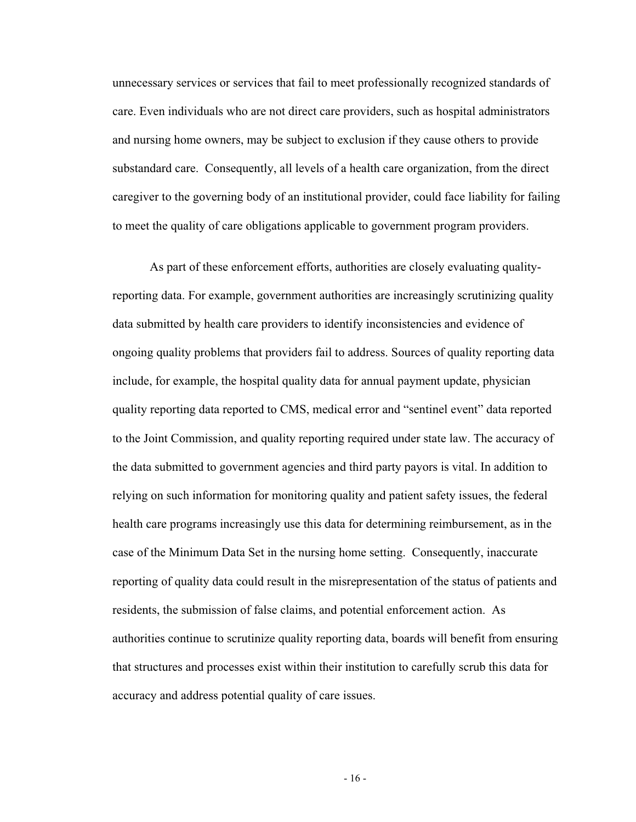unnecessary services or services that fail to meet professionally recognized standards of care. Even individuals who are not direct care providers, such as hospital administrators and nursing home owners, may be subject to exclusion if they cause others to provide substandard care. Consequently, all levels of a health care organization, from the direct caregiver to the governing body of an institutional provider, could face liability for failing to meet the quality of care obligations applicable to government program providers.

As part of these enforcement efforts, authorities are closely evaluating qualityreporting data. For example, government authorities are increasingly scrutinizing quality data submitted by health care providers to identify inconsistencies and evidence of ongoing quality problems that providers fail to address. Sources of quality reporting data include, for example, the hospital quality data for annual payment update, physician quality reporting data reported to CMS, medical error and "sentinel event" data reported to the Joint Commission, and quality reporting required under state law. The accuracy of the data submitted to government agencies and third party payors is vital. In addition to relying on such information for monitoring quality and patient safety issues, the federal health care programs increasingly use this data for determining reimbursement, as in the case of the Minimum Data Set in the nursing home setting. Consequently, inaccurate reporting of quality data could result in the misrepresentation of the status of patients and residents, the submission of false claims, and potential enforcement action. As authorities continue to scrutinize quality reporting data, boards will benefit from ensuring that structures and processes exist within their institution to carefully scrub this data for accuracy and address potential quality of care issues.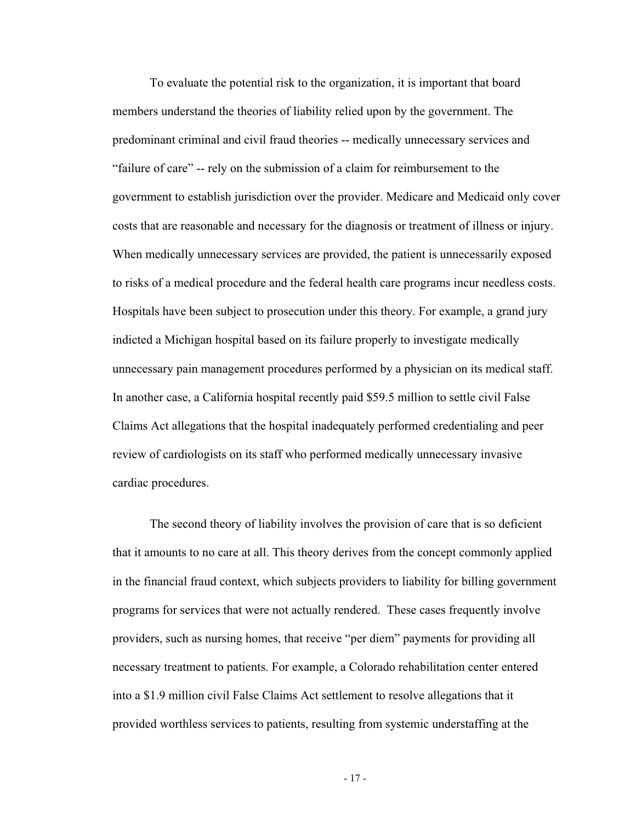To evaluate the potential risk to the organization, it is important that board members understand the theories of liability relied upon by the government. The predominant criminal and civil fraud theories -- medically unnecessary services and "failure of care" -- rely on the submission of a claim for reimbursement to the government to establish jurisdiction over the provider. Medicare and Medicaid only cover costs that are reasonable and necessary for the diagnosis or treatment of illness or injury. When medically unnecessary services are provided, the patient is unnecessarily exposed to risks of a medical procedure and the federal health care programs incur needless costs. Hospitals have been subject to prosecution under this theory. For example, a grand jury indicted a Michigan hospital based on its failure properly to investigate medically unnecessary pain management procedures performed by a physician on its medical staff. In another case, a California hospital recently paid \$59.5 million to settle civil False Claims Act allegations that the hospital inadequately performed credentialing and peer review of cardiologists on its staff who performed medically unnecessary invasive cardiac procedures.

The second theory of liability involves the provision of care that is so deficient that it amounts to no care at all. This theory derives from the concept commonly applied in the financial fraud context, which subjects providers to liability for billing government programs for services that were not actually rendered. These cases frequently involve providers, such as nursing homes, that receive "per diem" payments for providing all necessary treatment to patients. For example, a Colorado rehabilitation center entered into a \$1.9 million civil False Claims Act settlement to resolve allegations that it provided worthless services to patients, resulting from systemic understaffing at the

- 17 -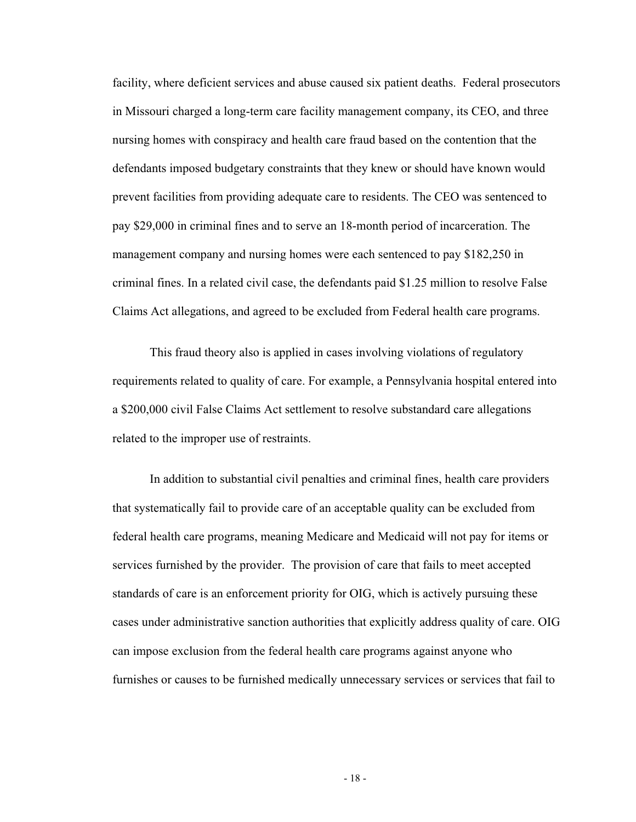facility, where deficient services and abuse caused six patient deaths. Federal prosecutors in Missouri charged a long-term care facility management company, its CEO, and three nursing homes with conspiracy and health care fraud based on the contention that the defendants imposed budgetary constraints that they knew or should have known would prevent facilities from providing adequate care to residents. The CEO was sentenced to pay \$29,000 in criminal fines and to serve an 18-month period of incarceration. The management company and nursing homes were each sentenced to pay \$182,250 in criminal fines. In a related civil case, the defendants paid \$1.25 million to resolve False Claims Act allegations, and agreed to be excluded from Federal health care programs.

This fraud theory also is applied in cases involving violations of regulatory requirements related to quality of care. For example, a Pennsylvania hospital entered into a \$200,000 civil False Claims Act settlement to resolve substandard care allegations related to the improper use of restraints.

In addition to substantial civil penalties and criminal fines, health care providers that systematically fail to provide care of an acceptable quality can be excluded from federal health care programs, meaning Medicare and Medicaid will not pay for items or services furnished by the provider. The provision of care that fails to meet accepted standards of care is an enforcement priority for OIG, which is actively pursuing these cases under administrative sanction authorities that explicitly address quality of care. OIG can impose exclusion from the federal health care programs against anyone who furnishes or causes to be furnished medically unnecessary services or services that fail to

- 18 -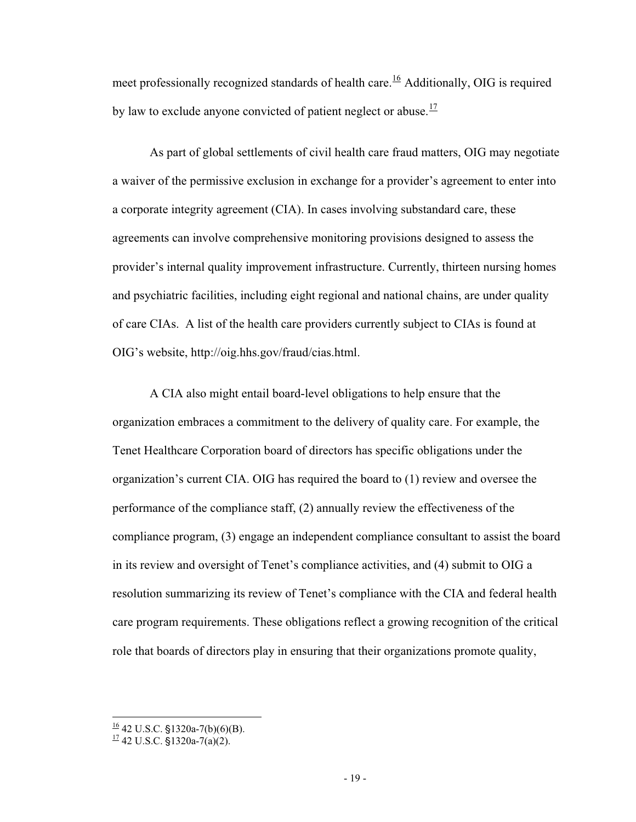meet professionally recognized standards of health care.<sup>16</sup> Additionally, OIG is required by law to exclude anyone convicted of patient neglect or abuse.<sup>17</sup>

As part of global settlements of civil health care fraud matters, OIG may negotiate a waiver of the permissive exclusion in exchange for a provider's agreement to enter into a corporate integrity agreement (CIA). In cases involving substandard care, these agreements can involve comprehensive monitoring provisions designed to assess the provider's internal quality improvement infrastructure. Currently, thirteen nursing homes and psychiatric facilities, including eight regional and national chains, are under quality of care CIAs. A list of the health care providers currently subject to CIAs is found at OIG's website, http://oig.hhs.gov/fraud/cias.html.

A CIA also might entail board-level obligations to help ensure that the organization embraces a commitment to the delivery of quality care. For example, the Tenet Healthcare Corporation board of directors has specific obligations under the organization's current CIA. OIG has required the board to (1) review and oversee the performance of the compliance staff, (2) annually review the effectiveness of the compliance program, (3) engage an independent compliance consultant to assist the board in its review and oversight of Tenet's compliance activities, and (4) submit to OIG a resolution summarizing its review of Tenet's compliance with the CIA and federal health care program requirements. These obligations reflect a growing recognition of the critical role that boards of directors play in ensuring that their organizations promote quality,

 $^{16}$  42 U.S.C. §1320a-7(b)(6)(B).

 $^{17}$  42 U.S.C. §1320a-7(a)(2).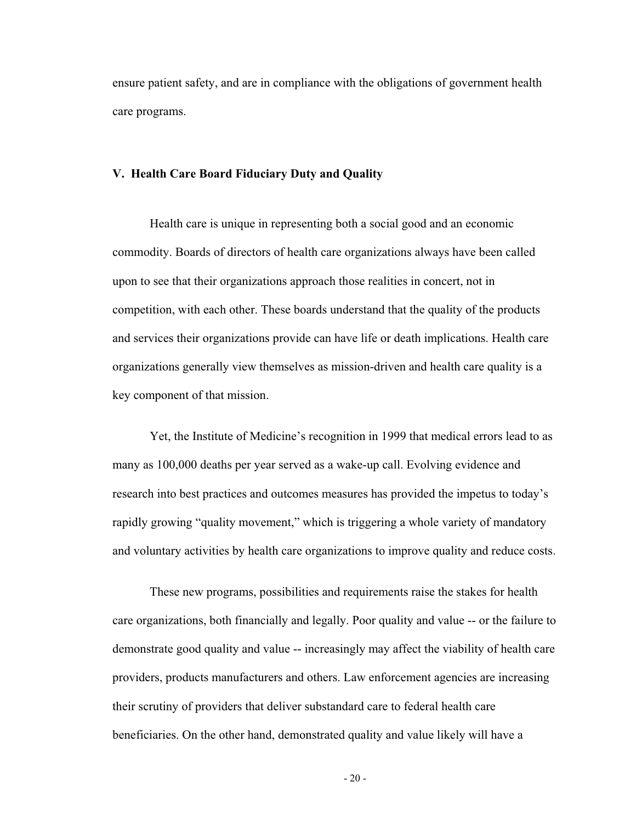ensure patient safety, and are in compliance with the obligations of government health care programs.

### **V. Health Care Board Fiduciary Duty and Quality**

Health care is unique in representing both a social good and an economic commodity. Boards of directors of health care organizations always have been called upon to see that their organizations approach those realities in concert, not in competition, with each other. These boards understand that the quality of the products and services their organizations provide can have life or death implications. Health care organizations generally view themselves as mission-driven and health care quality is a key component of that mission.

Yet, the Institute of Medicine's recognition in 1999 that medical errors lead to as many as 100,000 deaths per year served as a wake-up call. Evolving evidence and research into best practices and outcomes measures has provided the impetus to today's rapidly growing "quality movement," which is triggering a whole variety of mandatory and voluntary activities by health care organizations to improve quality and reduce costs.

These new programs, possibilities and requirements raise the stakes for health care organizations, both financially and legally. Poor quality and value -- or the failure to demonstrate good quality and value -- increasingly may affect the viability of health care providers, products manufacturers and others. Law enforcement agencies are increasing their scrutiny of providers that deliver substandard care to federal health care beneficiaries. On the other hand, demonstrated quality and value likely will have a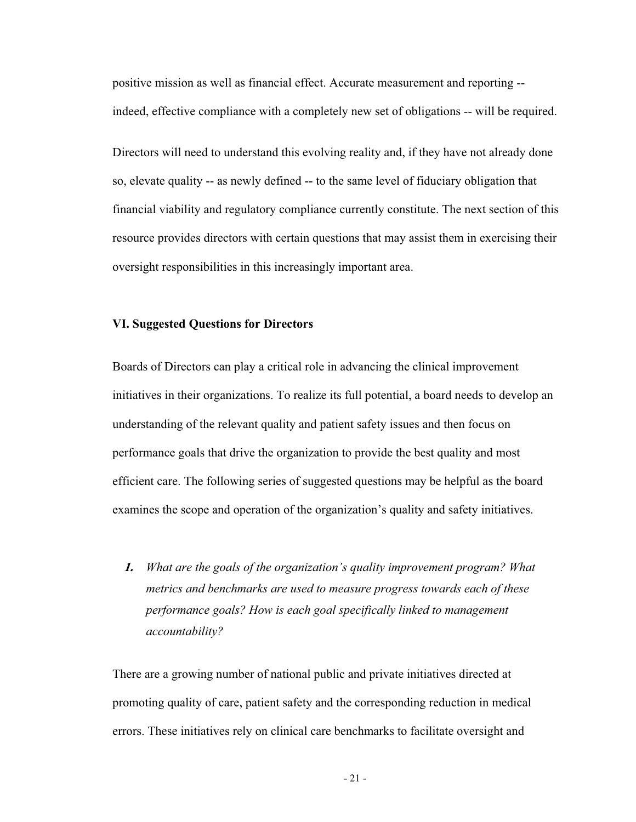positive mission as well as financial effect. Accurate measurement and reporting - indeed, effective compliance with a completely new set of obligations -- will be required.

Directors will need to understand this evolving reality and, if they have not already done so, elevate quality -- as newly defined -- to the same level of fiduciary obligation that financial viability and regulatory compliance currently constitute. The next section of this resource provides directors with certain questions that may assist them in exercising their oversight responsibilities in this increasingly important area.

#### **VI. Suggested Questions for Directors**

Boards of Directors can play a critical role in advancing the clinical improvement initiatives in their organizations. To realize its full potential, a board needs to develop an understanding of the relevant quality and patient safety issues and then focus on performance goals that drive the organization to provide the best quality and most efficient care. The following series of suggested questions may be helpful as the board examines the scope and operation of the organization's quality and safety initiatives.

**1.** *What are the goals of the organization's quality improvement program? What metrics and benchmarks are used to measure progress towards each of these performance goals? How is each goal specifically linked to management accountability?*

There are a growing number of national public and private initiatives directed at promoting quality of care, patient safety and the corresponding reduction in medical errors. These initiatives rely on clinical care benchmarks to facilitate oversight and

- 21 -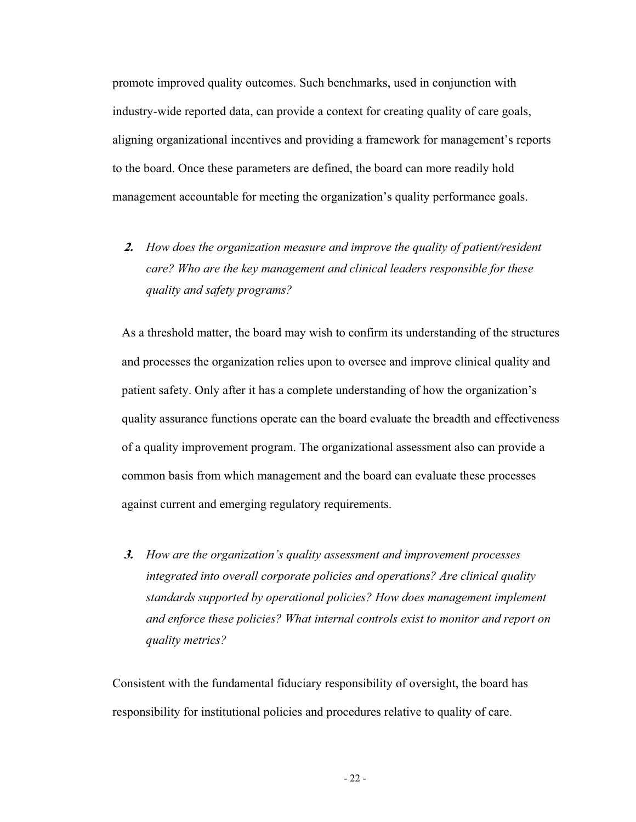promote improved quality outcomes. Such benchmarks, used in conjunction with industry-wide reported data, can provide a context for creating quality of care goals, aligning organizational incentives and providing a framework for management's reports to the board. Once these parameters are defined, the board can more readily hold management accountable for meeting the organization's quality performance goals.

**2.** *How does the organization measure and improve the quality of patient/resident care? Who are the key management and clinical leaders responsible for these quality and safety programs?* 

As a threshold matter, the board may wish to confirm its understanding of the structures and processes the organization relies upon to oversee and improve clinical quality and patient safety. Only after it has a complete understanding of how the organization's quality assurance functions operate can the board evaluate the breadth and effectiveness of a quality improvement program. The organizational assessment also can provide a common basis from which management and the board can evaluate these processes against current and emerging regulatory requirements.

**3.** *How are the organization's quality assessment and improvement processes integrated into overall corporate policies and operations? Are clinical quality standards supported by operational policies? How does management implement and enforce these policies? What internal controls exist to monitor and report on quality metrics?* 

Consistent with the fundamental fiduciary responsibility of oversight, the board has responsibility for institutional policies and procedures relative to quality of care.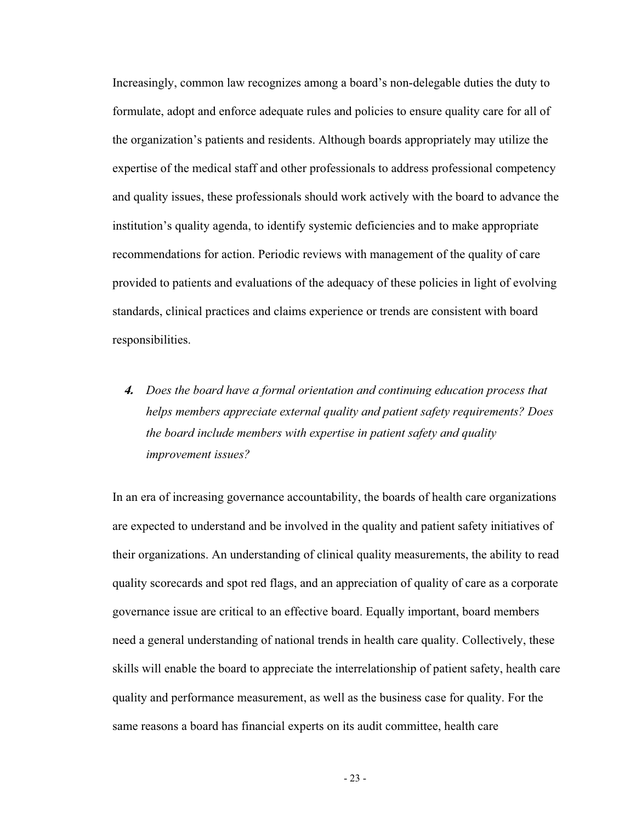Increasingly, common law recognizes among a board's non-delegable duties the duty to formulate, adopt and enforce adequate rules and policies to ensure quality care for all of the organization's patients and residents. Although boards appropriately may utilize the expertise of the medical staff and other professionals to address professional competency and quality issues, these professionals should work actively with the board to advance the institution's quality agenda, to identify systemic deficiencies and to make appropriate recommendations for action. Periodic reviews with management of the quality of care provided to patients and evaluations of the adequacy of these policies in light of evolving standards, clinical practices and claims experience or trends are consistent with board responsibilities.

**4.** *Does the board have a formal orientation and continuing education process that helps members appreciate external quality and patient safety requirements? Does the board include members with expertise in patient safety and quality improvement issues?*

In an era of increasing governance accountability, the boards of health care organizations are expected to understand and be involved in the quality and patient safety initiatives of their organizations. An understanding of clinical quality measurements, the ability to read quality scorecards and spot red flags, and an appreciation of quality of care as a corporate governance issue are critical to an effective board. Equally important, board members need a general understanding of national trends in health care quality. Collectively, these skills will enable the board to appreciate the interrelationship of patient safety, health care quality and performance measurement, as well as the business case for quality. For the same reasons a board has financial experts on its audit committee, health care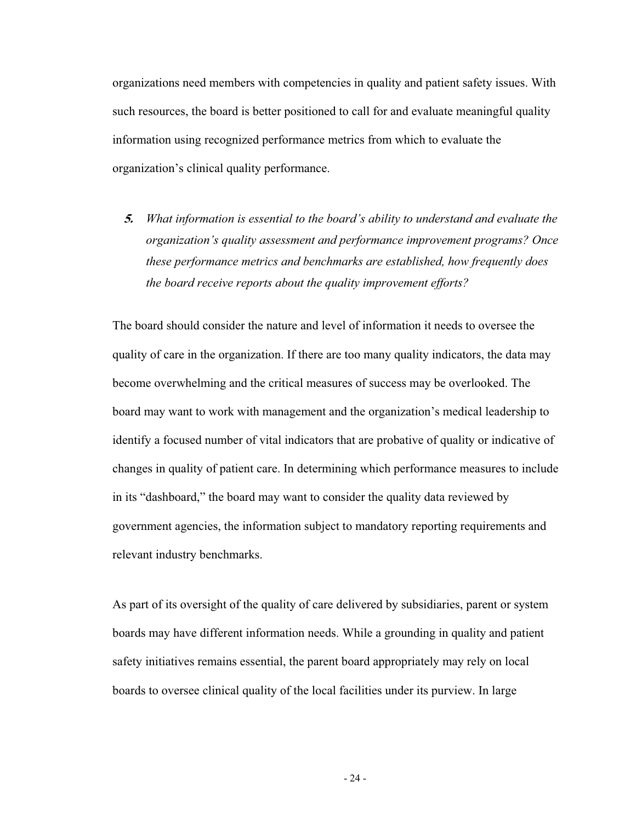organizations need members with competencies in quality and patient safety issues. With such resources, the board is better positioned to call for and evaluate meaningful quality information using recognized performance metrics from which to evaluate the organization's clinical quality performance.

**5.** *What information is essential to the board's ability to understand and evaluate the organization's quality assessment and performance improvement programs? Once these performance metrics and benchmarks are established, how frequently does the board receive reports about the quality improvement efforts?*

The board should consider the nature and level of information it needs to oversee the quality of care in the organization. If there are too many quality indicators, the data may become overwhelming and the critical measures of success may be overlooked. The board may want to work with management and the organization's medical leadership to identify a focused number of vital indicators that are probative of quality or indicative of changes in quality of patient care. In determining which performance measures to include in its "dashboard," the board may want to consider the quality data reviewed by government agencies, the information subject to mandatory reporting requirements and relevant industry benchmarks.

As part of its oversight of the quality of care delivered by subsidiaries, parent or system boards may have different information needs. While a grounding in quality and patient safety initiatives remains essential, the parent board appropriately may rely on local boards to oversee clinical quality of the local facilities under its purview. In large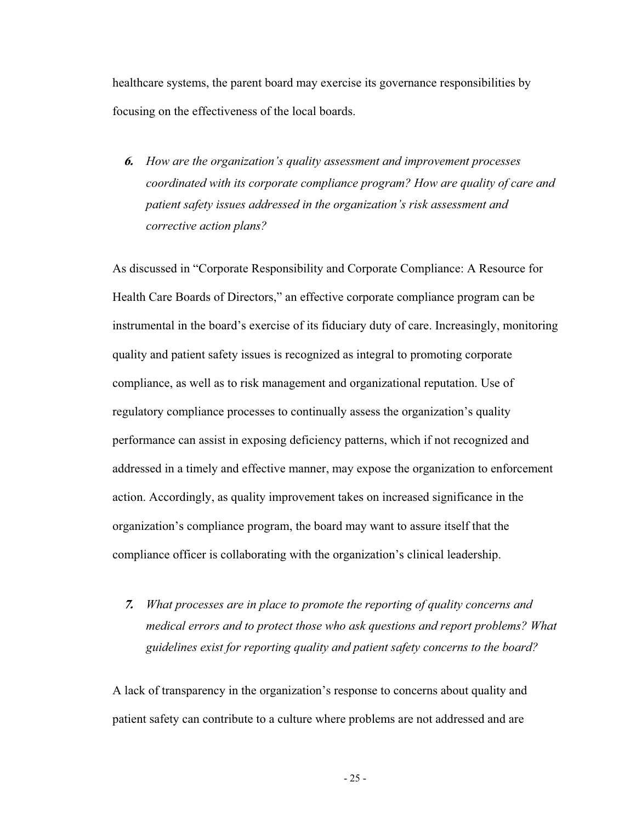healthcare systems, the parent board may exercise its governance responsibilities by focusing on the effectiveness of the local boards.

**6.** *How are the organization's quality assessment and improvement processes coordinated with its corporate compliance program? How are quality of care and patient safety issues addressed in the organization's risk assessment and corrective action plans?* 

As discussed in "Corporate Responsibility and Corporate Compliance: A Resource for Health Care Boards of Directors," an effective corporate compliance program can be instrumental in the board's exercise of its fiduciary duty of care. Increasingly, monitoring quality and patient safety issues is recognized as integral to promoting corporate compliance, as well as to risk management and organizational reputation. Use of regulatory compliance processes to continually assess the organization's quality performance can assist in exposing deficiency patterns, which if not recognized and addressed in a timely and effective manner, may expose the organization to enforcement action. Accordingly, as quality improvement takes on increased significance in the organization's compliance program, the board may want to assure itself that the compliance officer is collaborating with the organization's clinical leadership.

**7.** *What processes are in place to promote the reporting of quality concerns and medical errors and to protect those who ask questions and report problems? What guidelines exist for reporting quality and patient safety concerns to the board?* 

A lack of transparency in the organization's response to concerns about quality and patient safety can contribute to a culture where problems are not addressed and are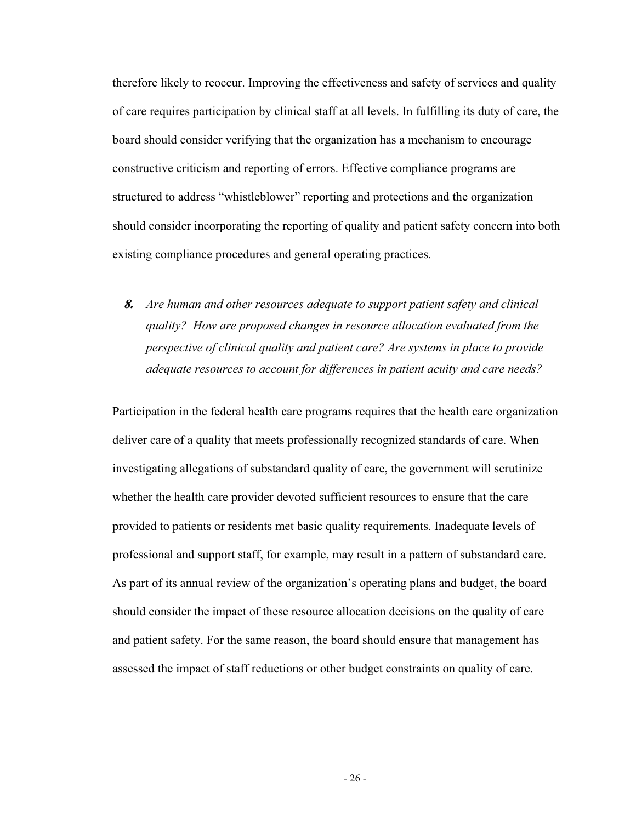therefore likely to reoccur. Improving the effectiveness and safety of services and quality of care requires participation by clinical staff at all levels. In fulfilling its duty of care, the board should consider verifying that the organization has a mechanism to encourage constructive criticism and reporting of errors. Effective compliance programs are structured to address "whistleblower" reporting and protections and the organization should consider incorporating the reporting of quality and patient safety concern into both existing compliance procedures and general operating practices.

**8.** *Are human and other resources adequate to support patient safety and clinical quality? How are proposed changes in resource allocation evaluated from the perspective of clinical quality and patient care? Are systems in place to provide adequate resources to account for differences in patient acuity and care needs?*

Participation in the federal health care programs requires that the health care organization deliver care of a quality that meets professionally recognized standards of care. When investigating allegations of substandard quality of care, the government will scrutinize whether the health care provider devoted sufficient resources to ensure that the care provided to patients or residents met basic quality requirements. Inadequate levels of professional and support staff, for example, may result in a pattern of substandard care. As part of its annual review of the organization's operating plans and budget, the board should consider the impact of these resource allocation decisions on the quality of care and patient safety. For the same reason, the board should ensure that management has assessed the impact of staff reductions or other budget constraints on quality of care.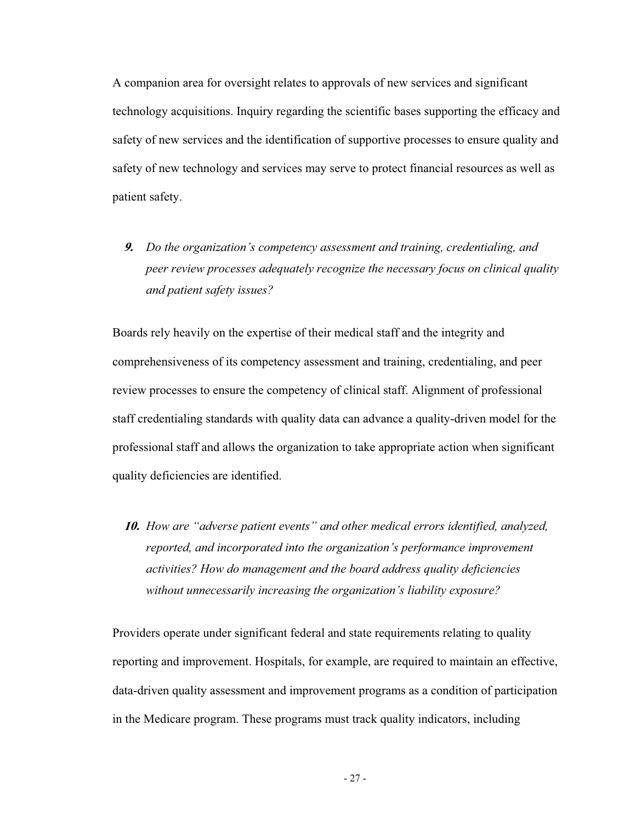A companion area for oversight relates to approvals of new services and significant technology acquisitions. Inquiry regarding the scientific bases supporting the efficacy and safety of new services and the identification of supportive processes to ensure quality and safety of new technology and services may serve to protect financial resources as well as patient safety.

**9.** *Do the organization's competency assessment and training, credentialing, and peer review processes adequately recognize the necessary focus on clinical quality and patient safety issues?*

Boards rely heavily on the expertise of their medical staff and the integrity and comprehensiveness of its competency assessment and training, credentialing, and peer review processes to ensure the competency of clinical staff. Alignment of professional staff credentialing standards with quality data can advance a quality-driven model for the professional staff and allows the organization to take appropriate action when significant quality deficiencies are identified.

**10.** *How are "adverse patient events" and other medical errors identified, analyzed, reported, and incorporated into the organization's performance improvement activities? How do management and the board address quality deficiencies without unnecessarily increasing the organization's liability exposure?* 

Providers operate under significant federal and state requirements relating to quality reporting and improvement. Hospitals, for example, are required to maintain an effective, data-driven quality assessment and improvement programs as a condition of participation in the Medicare program. These programs must track quality indicators, including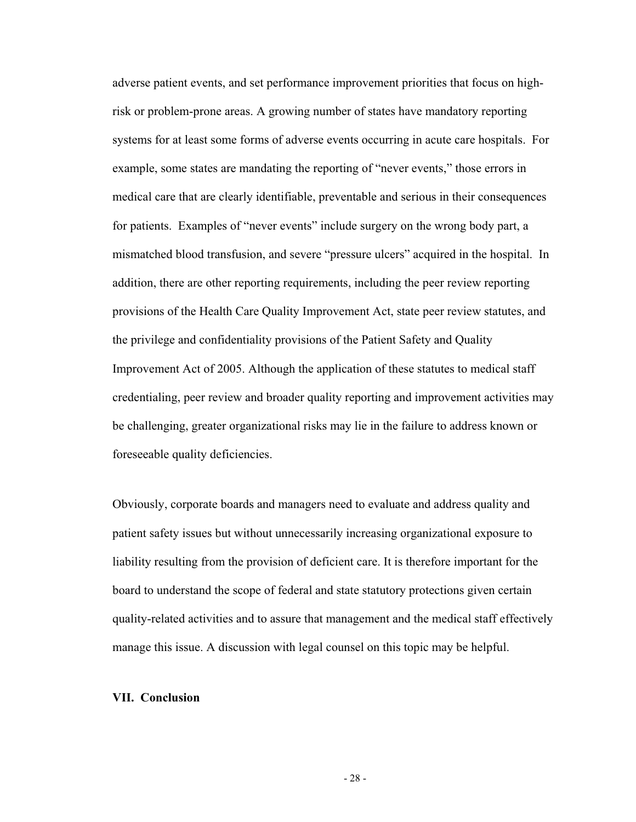adverse patient events, and set performance improvement priorities that focus on highrisk or problem-prone areas. A growing number of states have mandatory reporting systems for at least some forms of adverse events occurring in acute care hospitals. For example, some states are mandating the reporting of "never events," those errors in medical care that are clearly identifiable, preventable and serious in their consequences for patients. Examples of "never events" include surgery on the wrong body part, a mismatched blood transfusion, and severe "pressure ulcers" acquired in the hospital. In addition, there are other reporting requirements, including the peer review reporting provisions of the Health Care Quality Improvement Act, state peer review statutes, and the privilege and confidentiality provisions of the Patient Safety and Quality Improvement Act of 2005. Although the application of these statutes to medical staff credentialing, peer review and broader quality reporting and improvement activities may be challenging, greater organizational risks may lie in the failure to address known or foreseeable quality deficiencies.

Obviously, corporate boards and managers need to evaluate and address quality and patient safety issues but without unnecessarily increasing organizational exposure to liability resulting from the provision of deficient care. It is therefore important for the board to understand the scope of federal and state statutory protections given certain quality-related activities and to assure that management and the medical staff effectively manage this issue. A discussion with legal counsel on this topic may be helpful.

## **VII. Conclusion**